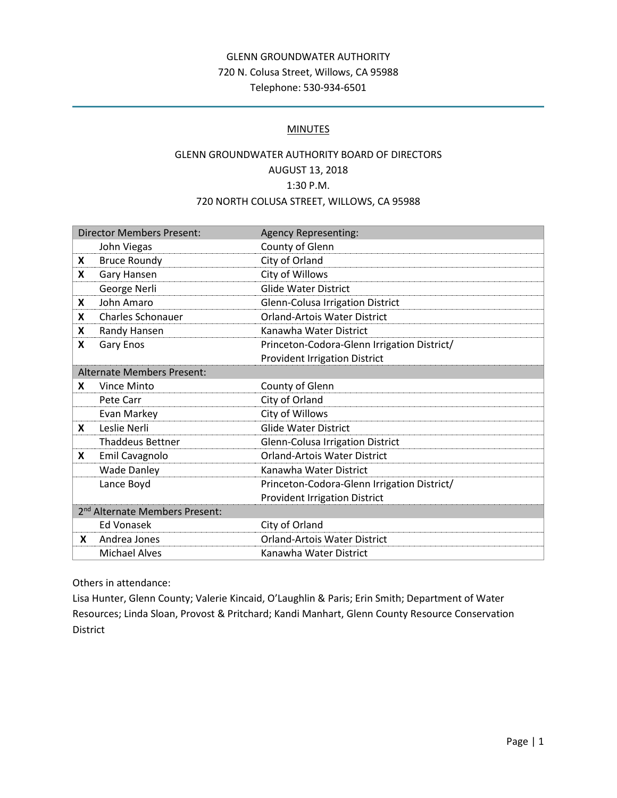# GLENN GROUNDWATER AUTHORITY 720 N. Colusa Street, Willows, CA 95988 Telephone: 530-934-6501

## **MINUTES**

# GLENN GROUNDWATER AUTHORITY BOARD OF DIRECTORS AUGUST 13, 2018 1:30 P.M. 720 NORTH COLUSA STREET, WILLOWS, CA 95988

| <b>Director Members Present:</b>           |                          | <b>Agency Representing:</b>                 |
|--------------------------------------------|--------------------------|---------------------------------------------|
|                                            | John Viegas              | County of Glenn                             |
| X                                          | <b>Bruce Roundy</b>      | City of Orland                              |
| X                                          | Gary Hansen              | City of Willows                             |
|                                            | George Nerli             | <b>Glide Water District</b>                 |
| X                                          | John Amaro               | Glenn-Colusa Irrigation District            |
| X                                          | <b>Charles Schonauer</b> | <b>Orland-Artois Water District</b>         |
| X                                          | Randy Hansen             | Kanawha Water District                      |
| X                                          | Gary Enos                | Princeton-Codora-Glenn Irrigation District/ |
|                                            |                          | <b>Provident Irrigation District</b>        |
| <b>Alternate Members Present:</b>          |                          |                                             |
| X                                          | Vince Minto              | County of Glenn                             |
|                                            | Pete Carr                | City of Orland                              |
|                                            | Evan Markey              | City of Willows                             |
| X                                          | Leslie Nerli             | <b>Glide Water District</b>                 |
|                                            | <b>Thaddeus Bettner</b>  | <b>Glenn-Colusa Irrigation District</b>     |
| X                                          | Emil Cavagnolo           | <b>Orland-Artois Water District</b>         |
|                                            | <b>Wade Danley</b>       | Kanawha Water District                      |
|                                            | Lance Boyd               | Princeton-Codora-Glenn Irrigation District/ |
|                                            |                          | <b>Provident Irrigation District</b>        |
| 2 <sup>nd</sup> Alternate Members Present: |                          |                                             |
|                                            | <b>Ed Vonasek</b>        | City of Orland                              |
| X.                                         | Andrea Jones             | <b>Orland-Artois Water District</b>         |
|                                            | <b>Michael Alves</b>     | Kanawha Water District                      |

Others in attendance:

Lisa Hunter, Glenn County; Valerie Kincaid, O'Laughlin & Paris; Erin Smith; Department of Water Resources; Linda Sloan, Provost & Pritchard; Kandi Manhart, Glenn County Resource Conservation District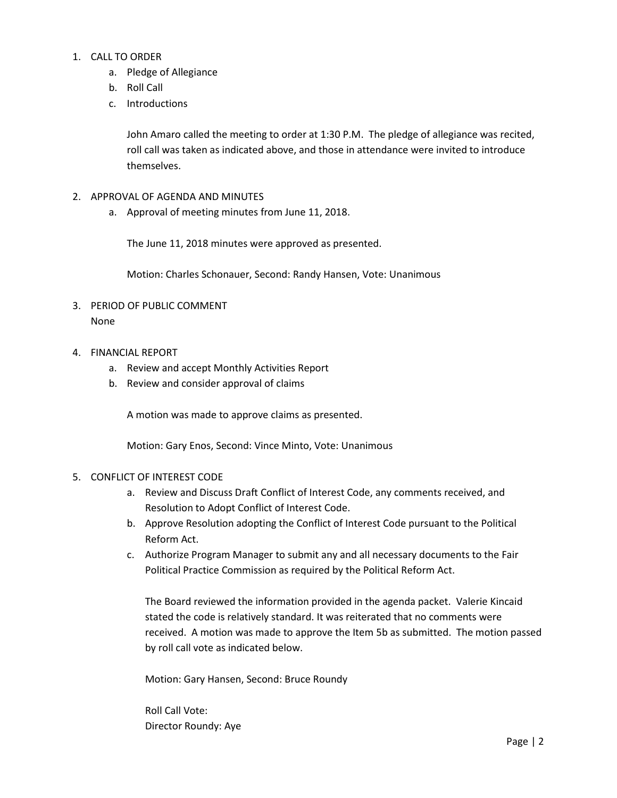## 1. CALL TO ORDER

- a. Pledge of Allegiance
- b. Roll Call
- c. Introductions

John Amaro called the meeting to order at 1:30 P.M. The pledge of allegiance was recited, roll call was taken as indicated above, and those in attendance were invited to introduce themselves.

- 2. APPROVAL OF AGENDA AND MINUTES
	- a. Approval of meeting minutes from June 11, 2018.

The June 11, 2018 minutes were approved as presented.

Motion: Charles Schonauer, Second: Randy Hansen, Vote: Unanimous

- 3. PERIOD OF PUBLIC COMMENT None
- 4. FINANCIAL REPORT
	- a. Review and accept Monthly Activities Report
	- b. Review and consider approval of claims

A motion was made to approve claims as presented.

Motion: Gary Enos, Second: Vince Minto, Vote: Unanimous

#### 5. CONFLICT OF INTEREST CODE

- a. Review and Discuss Draft Conflict of Interest Code, any comments received, and Resolution to Adopt Conflict of Interest Code.
- b. Approve Resolution adopting the Conflict of Interest Code pursuant to the Political Reform Act.
- c. Authorize Program Manager to submit any and all necessary documents to the Fair Political Practice Commission as required by the Political Reform Act.

The Board reviewed the information provided in the agenda packet. Valerie Kincaid stated the code is relatively standard. It was reiterated that no comments were received. A motion was made to approve the Item 5b as submitted. The motion passed by roll call vote as indicated below.

Motion: Gary Hansen, Second: Bruce Roundy

Roll Call Vote: Director Roundy: Aye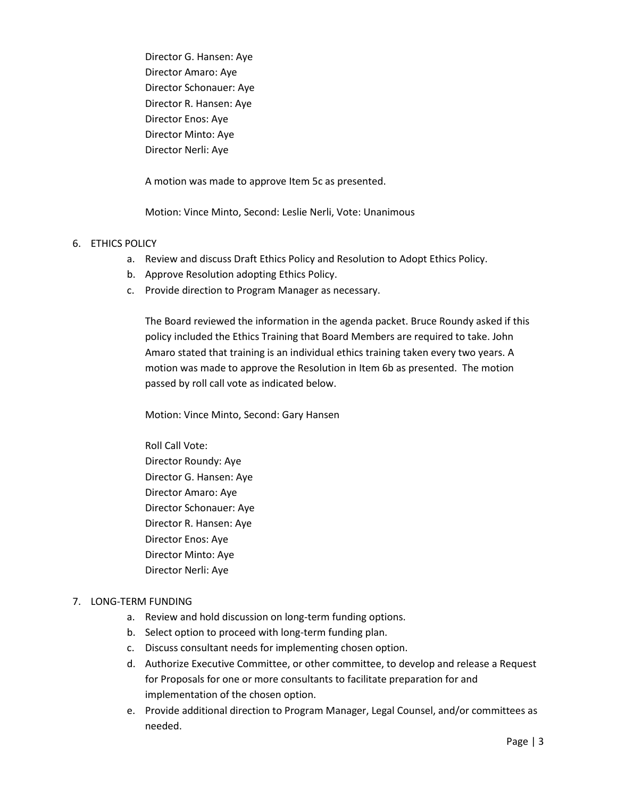Director G. Hansen: Aye Director Amaro: Aye Director Schonauer: Aye Director R. Hansen: Aye Director Enos: Aye Director Minto: Aye Director Nerli: Aye

A motion was made to approve Item 5c as presented.

Motion: Vince Minto, Second: Leslie Nerli, Vote: Unanimous

#### 6. ETHICS POLICY

- a. Review and discuss Draft Ethics Policy and Resolution to Adopt Ethics Policy.
- b. Approve Resolution adopting Ethics Policy.
- c. Provide direction to Program Manager as necessary.

The Board reviewed the information in the agenda packet. Bruce Roundy asked if this policy included the Ethics Training that Board Members are required to take. John Amaro stated that training is an individual ethics training taken every two years. A motion was made to approve the Resolution in Item 6b as presented. The motion passed by roll call vote as indicated below.

Motion: Vince Minto, Second: Gary Hansen

Roll Call Vote: Director Roundy: Aye Director G. Hansen: Aye Director Amaro: Aye Director Schonauer: Aye Director R. Hansen: Aye Director Enos: Aye Director Minto: Aye Director Nerli: Aye

## 7. LONG-TERM FUNDING

- a. Review and hold discussion on long-term funding options.
- b. Select option to proceed with long-term funding plan.
- c. Discuss consultant needs for implementing chosen option.
- d. Authorize Executive Committee, or other committee, to develop and release a Request for Proposals for one or more consultants to facilitate preparation for and implementation of the chosen option.
- e. Provide additional direction to Program Manager, Legal Counsel, and/or committees as needed.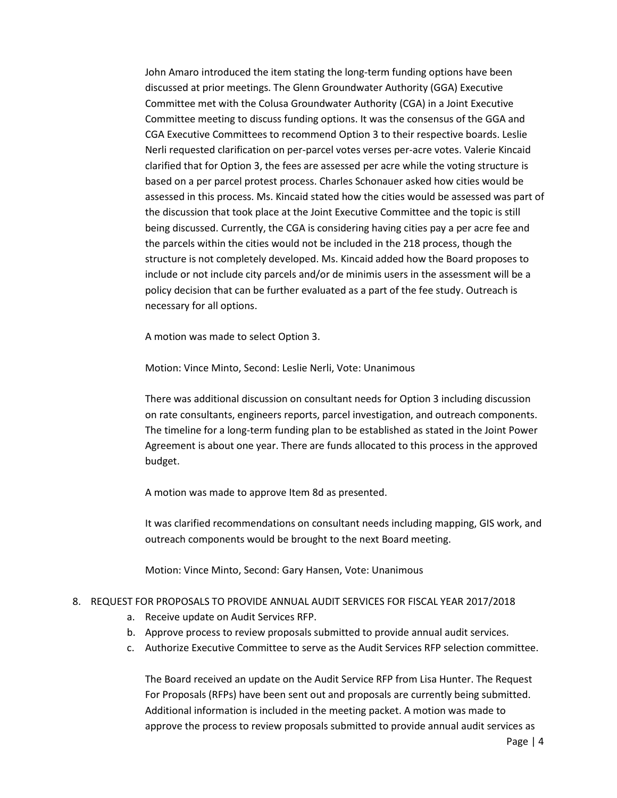John Amaro introduced the item stating the long-term funding options have been discussed at prior meetings. The Glenn Groundwater Authority (GGA) Executive Committee met with the Colusa Groundwater Authority (CGA) in a Joint Executive Committee meeting to discuss funding options. It was the consensus of the GGA and CGA Executive Committees to recommend Option 3 to their respective boards. Leslie Nerli requested clarification on per-parcel votes verses per-acre votes. Valerie Kincaid clarified that for Option 3, the fees are assessed per acre while the voting structure is based on a per parcel protest process. Charles Schonauer asked how cities would be assessed in this process. Ms. Kincaid stated how the cities would be assessed was part of the discussion that took place at the Joint Executive Committee and the topic is still being discussed. Currently, the CGA is considering having cities pay a per acre fee and the parcels within the cities would not be included in the 218 process, though the structure is not completely developed. Ms. Kincaid added how the Board proposes to include or not include city parcels and/or de minimis users in the assessment will be a policy decision that can be further evaluated as a part of the fee study. Outreach is necessary for all options.

A motion was made to select Option 3.

Motion: Vince Minto, Second: Leslie Nerli, Vote: Unanimous

There was additional discussion on consultant needs for Option 3 including discussion on rate consultants, engineers reports, parcel investigation, and outreach components. The timeline for a long-term funding plan to be established as stated in the Joint Power Agreement is about one year. There are funds allocated to this process in the approved budget.

A motion was made to approve Item 8d as presented.

It was clarified recommendations on consultant needs including mapping, GIS work, and outreach components would be brought to the next Board meeting.

Motion: Vince Minto, Second: Gary Hansen, Vote: Unanimous

## 8. REQUEST FOR PROPOSALS TO PROVIDE ANNUAL AUDIT SERVICES FOR FISCAL YEAR 2017/2018

- a. Receive update on Audit Services RFP.
- b. Approve process to review proposals submitted to provide annual audit services.
- c. Authorize Executive Committee to serve as the Audit Services RFP selection committee.

The Board received an update on the Audit Service RFP from Lisa Hunter. The Request For Proposals (RFPs) have been sent out and proposals are currently being submitted. Additional information is included in the meeting packet. A motion was made to approve the process to review proposals submitted to provide annual audit services as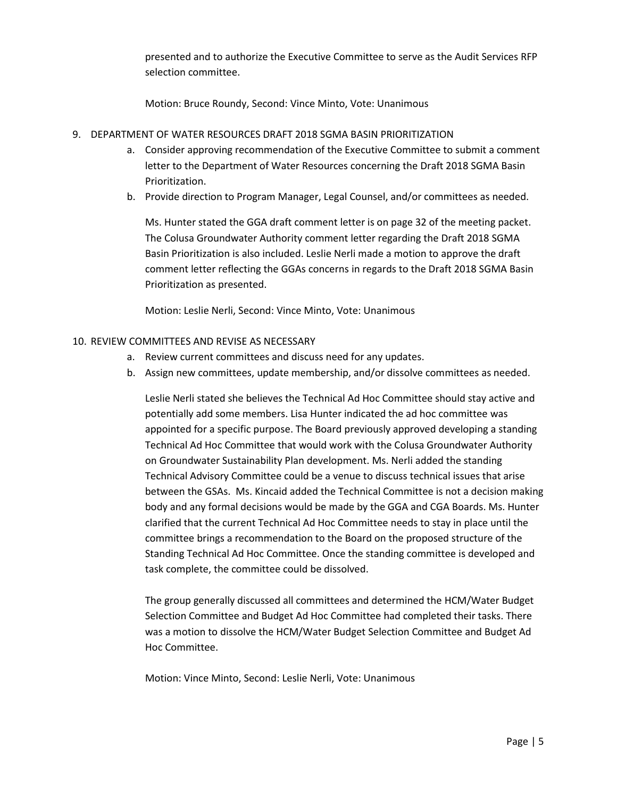presented and to authorize the Executive Committee to serve as the Audit Services RFP selection committee.

Motion: Bruce Roundy, Second: Vince Minto, Vote: Unanimous

- 9. DEPARTMENT OF WATER RESOURCES DRAFT 2018 SGMA BASIN PRIORITIZATION
	- a. Consider approving recommendation of the Executive Committee to submit a comment letter to the Department of Water Resources concerning the Draft 2018 SGMA Basin Prioritization.
	- b. Provide direction to Program Manager, Legal Counsel, and/or committees as needed.

Ms. Hunter stated the GGA draft comment letter is on page 32 of the meeting packet. The Colusa Groundwater Authority comment letter regarding the Draft 2018 SGMA Basin Prioritization is also included. Leslie Nerli made a motion to approve the draft comment letter reflecting the GGAs concerns in regards to the Draft 2018 SGMA Basin Prioritization as presented.

Motion: Leslie Nerli, Second: Vince Minto, Vote: Unanimous

#### 10. REVIEW COMMITTEES AND REVISE AS NECESSARY

- a. Review current committees and discuss need for any updates.
- b. Assign new committees, update membership, and/or dissolve committees as needed.

Leslie Nerli stated she believes the Technical Ad Hoc Committee should stay active and potentially add some members. Lisa Hunter indicated the ad hoc committee was appointed for a specific purpose. The Board previously approved developing a standing Technical Ad Hoc Committee that would work with the Colusa Groundwater Authority on Groundwater Sustainability Plan development. Ms. Nerli added the standing Technical Advisory Committee could be a venue to discuss technical issues that arise between the GSAs. Ms. Kincaid added the Technical Committee is not a decision making body and any formal decisions would be made by the GGA and CGA Boards. Ms. Hunter clarified that the current Technical Ad Hoc Committee needs to stay in place until the committee brings a recommendation to the Board on the proposed structure of the Standing Technical Ad Hoc Committee. Once the standing committee is developed and task complete, the committee could be dissolved.

The group generally discussed all committees and determined the HCM/Water Budget Selection Committee and Budget Ad Hoc Committee had completed their tasks. There was a motion to dissolve the HCM/Water Budget Selection Committee and Budget Ad Hoc Committee.

Motion: Vince Minto, Second: Leslie Nerli, Vote: Unanimous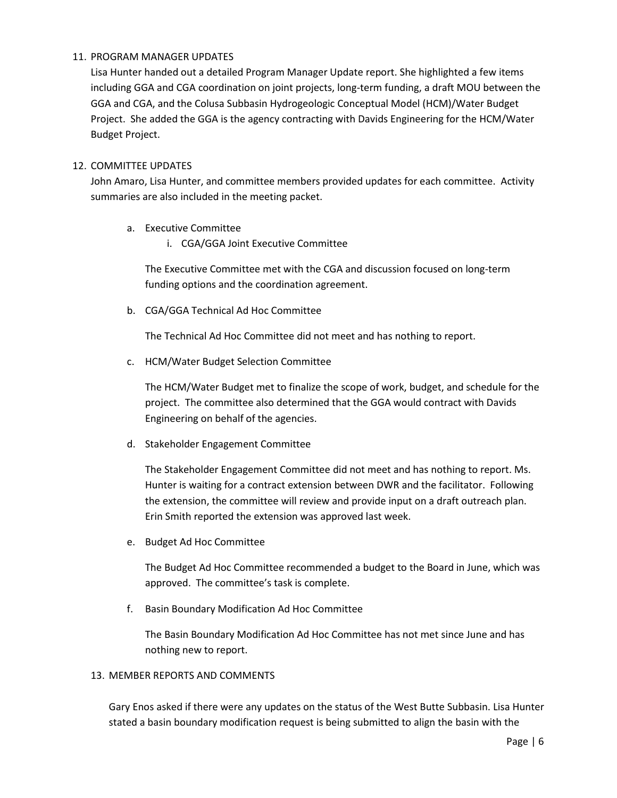## 11. PROGRAM MANAGER UPDATES

Lisa Hunter handed out a detailed Program Manager Update report. She highlighted a few items including GGA and CGA coordination on joint projects, long-term funding, a draft MOU between the GGA and CGA, and the Colusa Subbasin Hydrogeologic Conceptual Model (HCM)/Water Budget Project. She added the GGA is the agency contracting with Davids Engineering for the HCM/Water Budget Project.

## 12. COMMITTEE UPDATES

John Amaro, Lisa Hunter, and committee members provided updates for each committee. Activity summaries are also included in the meeting packet.

- a. Executive Committee
	- i. CGA/GGA Joint Executive Committee

The Executive Committee met with the CGA and discussion focused on long-term funding options and the coordination agreement.

b. CGA/GGA Technical Ad Hoc Committee

The Technical Ad Hoc Committee did not meet and has nothing to report.

c. HCM/Water Budget Selection Committee

The HCM/Water Budget met to finalize the scope of work, budget, and schedule for the project. The committee also determined that the GGA would contract with Davids Engineering on behalf of the agencies.

d. Stakeholder Engagement Committee

The Stakeholder Engagement Committee did not meet and has nothing to report. Ms. Hunter is waiting for a contract extension between DWR and the facilitator. Following the extension, the committee will review and provide input on a draft outreach plan. Erin Smith reported the extension was approved last week.

e. Budget Ad Hoc Committee

The Budget Ad Hoc Committee recommended a budget to the Board in June, which was approved. The committee's task is complete.

f. Basin Boundary Modification Ad Hoc Committee

The Basin Boundary Modification Ad Hoc Committee has not met since June and has nothing new to report.

## 13. MEMBER REPORTS AND COMMENTS

Gary Enos asked if there were any updates on the status of the West Butte Subbasin. Lisa Hunter stated a basin boundary modification request is being submitted to align the basin with the